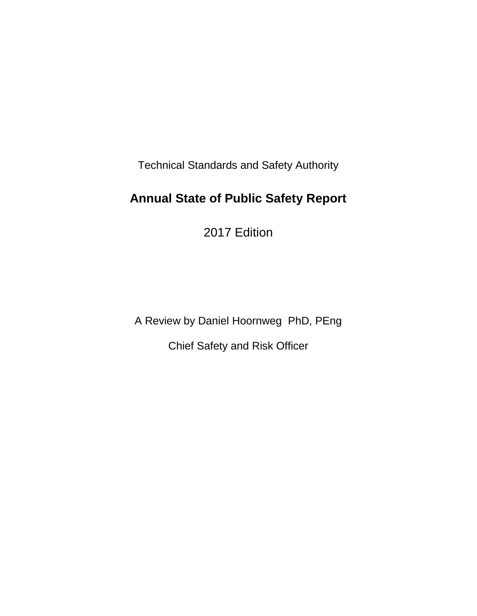Technical Standards and Safety Authority

# **Annual State of Public Safety Report**

2017 Edition

A Review by Daniel Hoornweg PhD, PEng

Chief Safety and Risk Officer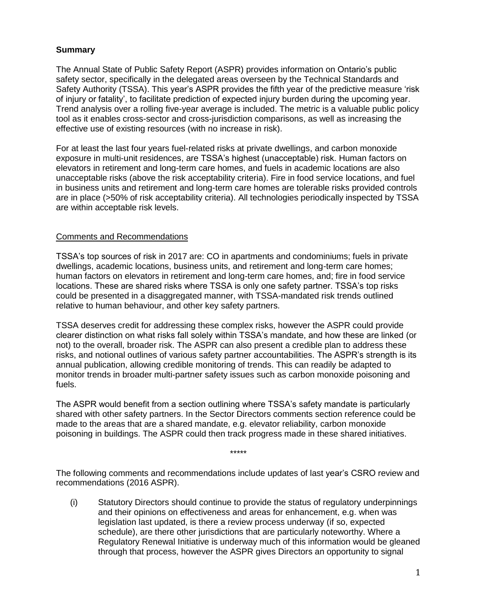### **Summary**

The Annual State of Public Safety Report (ASPR) provides information on Ontario's public safety sector, specifically in the delegated areas overseen by the Technical Standards and Safety Authority (TSSA). This year's ASPR provides the fifth year of the predictive measure 'risk of injury or fatality', to facilitate prediction of expected injury burden during the upcoming year. Trend analysis over a rolling five-year average is included. The metric is a valuable public policy tool as it enables cross-sector and cross-jurisdiction comparisons, as well as increasing the effective use of existing resources (with no increase in risk).

For at least the last four years fuel-related risks at private dwellings, and carbon monoxide exposure in multi-unit residences, are TSSA's highest (unacceptable) risk. Human factors on elevators in retirement and long-term care homes, and fuels in academic locations are also unacceptable risks (above the risk acceptability criteria). Fire in food service locations, and fuel in business units and retirement and long-term care homes are tolerable risks provided controls are in place (>50% of risk acceptability criteria). All technologies periodically inspected by TSSA are within acceptable risk levels.

### Comments and Recommendations

TSSA's top sources of risk in 2017 are: CO in apartments and condominiums; fuels in private dwellings, academic locations, business units, and retirement and long-term care homes; human factors on elevators in retirement and long-term care homes, and; fire in food service locations. These are shared risks where TSSA is only one safety partner. TSSA's top risks could be presented in a disaggregated manner, with TSSA-mandated risk trends outlined relative to human behaviour, and other key safety partners.

TSSA deserves credit for addressing these complex risks, however the ASPR could provide clearer distinction on what risks fall solely within TSSA's mandate, and how these are linked (or not) to the overall, broader risk. The ASPR can also present a credible plan to address these risks, and notional outlines of various safety partner accountabilities. The ASPR's strength is its annual publication, allowing credible monitoring of trends. This can readily be adapted to monitor trends in broader multi-partner safety issues such as carbon monoxide poisoning and fuels.

The ASPR would benefit from a section outlining where TSSA's safety mandate is particularly shared with other safety partners. In the Sector Directors comments section reference could be made to the areas that are a shared mandate, e.g. elevator reliability, carbon monoxide poisoning in buildings. The ASPR could then track progress made in these shared initiatives.

The following comments and recommendations include updates of last year's CSRO review and recommendations (2016 ASPR).

\*\*\*\*\*

(i) Statutory Directors should continue to provide the status of regulatory underpinnings and their opinions on effectiveness and areas for enhancement, e.g. when was legislation last updated, is there a review process underway (if so, expected schedule), are there other jurisdictions that are particularly noteworthy. Where a Regulatory Renewal Initiative is underway much of this information would be gleaned through that process, however the ASPR gives Directors an opportunity to signal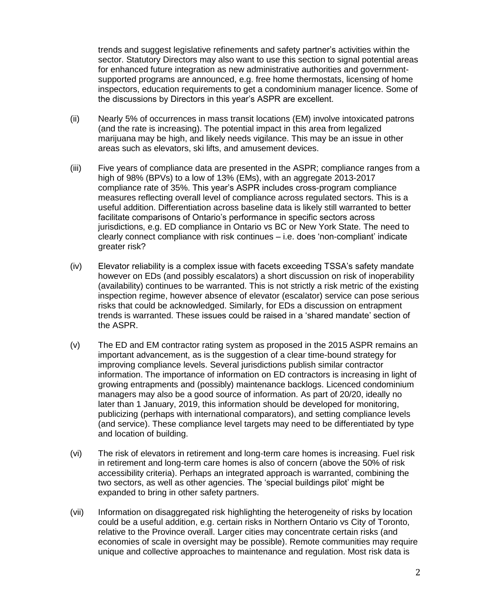trends and suggest legislative refinements and safety partner's activities within the sector. Statutory Directors may also want to use this section to signal potential areas for enhanced future integration as new administrative authorities and governmentsupported programs are announced, e.g. free home thermostats, licensing of home inspectors, education requirements to get a condominium manager licence. Some of the discussions by Directors in this year's ASPR are excellent.

- (ii) Nearly 5% of occurrences in mass transit locations (EM) involve intoxicated patrons (and the rate is increasing). The potential impact in this area from legalized marijuana may be high, and likely needs vigilance. This may be an issue in other areas such as elevators, ski lifts, and amusement devices.
- (iii) Five years of compliance data are presented in the ASPR; compliance ranges from a high of 98% (BPVs) to a low of 13% (EMs), with an aggregate 2013-2017 compliance rate of 35%. This year's ASPR includes cross-program compliance measures reflecting overall level of compliance across regulated sectors. This is a useful addition. Differentiation across baseline data is likely still warranted to better facilitate comparisons of Ontario's performance in specific sectors across jurisdictions, e.g. ED compliance in Ontario vs BC or New York State. The need to clearly connect compliance with risk continues – i.e. does 'non-compliant' indicate greater risk?
- (iv) Elevator reliability is a complex issue with facets exceeding TSSA's safety mandate however on EDs (and possibly escalators) a short discussion on risk of inoperability (availability) continues to be warranted. This is not strictly a risk metric of the existing inspection regime, however absence of elevator (escalator) service can pose serious risks that could be acknowledged. Similarly, for EDs a discussion on entrapment trends is warranted. These issues could be raised in a 'shared mandate' section of the ASPR.
- (v) The ED and EM contractor rating system as proposed in the 2015 ASPR remains an important advancement, as is the suggestion of a clear time-bound strategy for improving compliance levels. Several jurisdictions publish similar contractor information. The importance of information on ED contractors is increasing in light of growing entrapments and (possibly) maintenance backlogs. Licenced condominium managers may also be a good source of information. As part of 20/20, ideally no later than 1 January, 2019, this information should be developed for monitoring, publicizing (perhaps with international comparators), and setting compliance levels (and service). These compliance level targets may need to be differentiated by type and location of building.
- (vi) The risk of elevators in retirement and long-term care homes is increasing. Fuel risk in retirement and long-term care homes is also of concern (above the 50% of risk accessibility criteria). Perhaps an integrated approach is warranted, combining the two sectors, as well as other agencies. The 'special buildings pilot' might be expanded to bring in other safety partners.
- (vii) Information on disaggregated risk highlighting the heterogeneity of risks by location could be a useful addition, e.g. certain risks in Northern Ontario vs City of Toronto, relative to the Province overall. Larger cities may concentrate certain risks (and economies of scale in oversight may be possible). Remote communities may require unique and collective approaches to maintenance and regulation. Most risk data is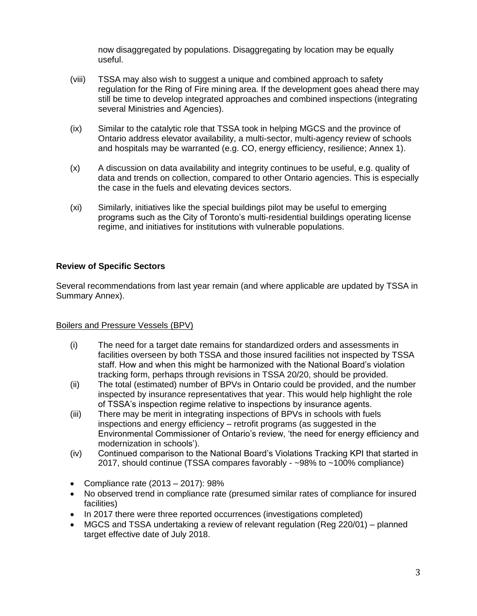now disaggregated by populations. Disaggregating by location may be equally useful.

- (viii) TSSA may also wish to suggest a unique and combined approach to safety regulation for the Ring of Fire mining area. If the development goes ahead there may still be time to develop integrated approaches and combined inspections (integrating several Ministries and Agencies).
- (ix) Similar to the catalytic role that TSSA took in helping MGCS and the province of Ontario address elevator availability, a multi-sector, multi-agency review of schools and hospitals may be warranted (e.g. CO, energy efficiency, resilience; Annex 1).
- (x) A discussion on data availability and integrity continues to be useful, e.g. quality of data and trends on collection, compared to other Ontario agencies. This is especially the case in the fuels and elevating devices sectors.
- (xi) Similarly, initiatives like the special buildings pilot may be useful to emerging programs such as the City of Toronto's multi-residential buildings operating license regime, and initiatives for institutions with vulnerable populations.

## **Review of Specific Sectors**

Several recommendations from last year remain (and where applicable are updated by TSSA in Summary Annex).

### Boilers and Pressure Vessels (BPV)

- (i) The need for a target date remains for standardized orders and assessments in facilities overseen by both TSSA and those insured facilities not inspected by TSSA staff. How and when this might be harmonized with the National Board's violation tracking form, perhaps through revisions in TSSA 20/20, should be provided.
- (ii) The total (estimated) number of BPVs in Ontario could be provided, and the number inspected by insurance representatives that year. This would help highlight the role of TSSA's inspection regime relative to inspections by insurance agents.
- (iii) There may be merit in integrating inspections of BPVs in schools with fuels inspections and energy efficiency – retrofit programs (as suggested in the Environmental Commissioner of Ontario's review, 'the need for energy efficiency and modernization in schools').
- (iv) Continued comparison to the National Board's Violations Tracking KPI that started in 2017, should continue (TSSA compares favorably - ~98% to ~100% compliance)
- Compliance rate (2013 2017): 98%
- No observed trend in compliance rate (presumed similar rates of compliance for insured facilities)
- In 2017 there were three reported occurrences (investigations completed)
- MGCS and TSSA undertaking a review of relevant regulation (Reg 220/01) planned target effective date of July 2018.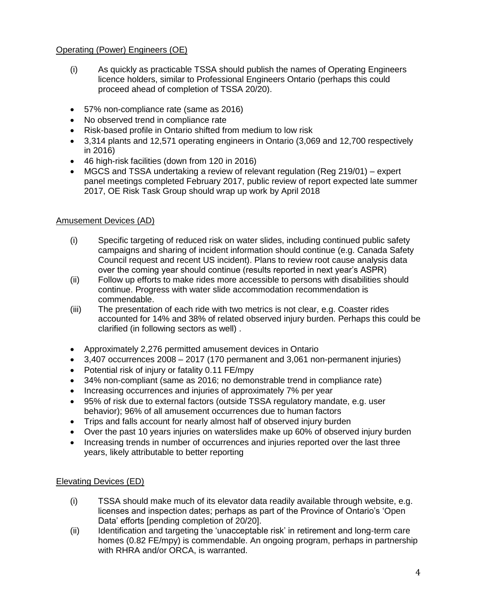## Operating (Power) Engineers (OE)

- (i) As quickly as practicable TSSA should publish the names of Operating Engineers licence holders, similar to Professional Engineers Ontario (perhaps this could proceed ahead of completion of TSSA 20/20).
- 57% non-compliance rate (same as 2016)
- No observed trend in compliance rate
- Risk-based profile in Ontario shifted from medium to low risk
- 3,314 plants and 12,571 operating engineers in Ontario (3,069 and 12,700 respectively in 2016)
- 46 high-risk facilities (down from 120 in 2016)
- MGCS and TSSA undertaking a review of relevant regulation (Reg 219/01) expert panel meetings completed February 2017, public review of report expected late summer 2017, OE Risk Task Group should wrap up work by April 2018

## Amusement Devices (AD)

- (i) Specific targeting of reduced risk on water slides, including continued public safety campaigns and sharing of incident information should continue (e.g. Canada Safety Council request and recent US incident). Plans to review root cause analysis data over the coming year should continue (results reported in next year's ASPR)
- (ii) Follow up efforts to make rides more accessible to persons with disabilities should continue. Progress with water slide accommodation recommendation is commendable.
- (iii) The presentation of each ride with two metrics is not clear, e.g. Coaster rides accounted for 14% and 38% of related observed injury burden. Perhaps this could be clarified (in following sectors as well) .
- Approximately 2,276 permitted amusement devices in Ontario
- 3,407 occurrences 2008 2017 (170 permanent and 3,061 non-permanent injuries)
- Potential risk of injury or fatality 0.11 FE/mpy
- 34% non-compliant (same as 2016; no demonstrable trend in compliance rate)
- Increasing occurrences and injuries of approximately 7% per year
- 95% of risk due to external factors (outside TSSA regulatory mandate, e.g. user behavior); 96% of all amusement occurrences due to human factors
- Trips and falls account for nearly almost half of observed injury burden
- Over the past 10 years injuries on waterslides make up 60% of observed injury burden
- Increasing trends in number of occurrences and injuries reported over the last three years, likely attributable to better reporting

### Elevating Devices (ED)

- (i) TSSA should make much of its elevator data readily available through website, e.g. licenses and inspection dates; perhaps as part of the Province of Ontario's 'Open Data' efforts [pending completion of 20/20].
- (ii) Identification and targeting the 'unacceptable risk' in retirement and long-term care homes (0.82 FE/mpy) is commendable. An ongoing program, perhaps in partnership with RHRA and/or ORCA, is warranted.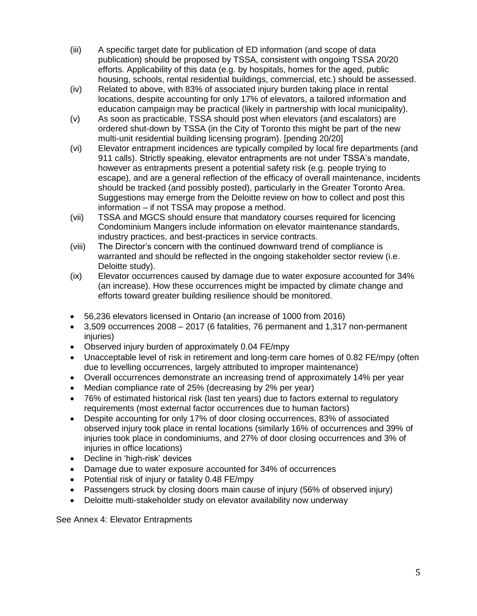- (iii) A specific target date for publication of ED information (and scope of data publication) should be proposed by TSSA, consistent with ongoing TSSA 20/20 efforts. Applicability of this data (e.g. by hospitals, homes for the aged, public housing, schools, rental residential buildings, commercial, etc.) should be assessed.
- (iv) Related to above, with 83% of associated injury burden taking place in rental locations, despite accounting for only 17% of elevators, a tailored information and education campaign may be practical (likely in partnership with local municipality).
- (v) As soon as practicable, TSSA should post when elevators (and escalators) are ordered shut-down by TSSA (in the City of Toronto this might be part of the new multi-unit residential building licensing program). [pending 20/20]
- (vi) Elevator entrapment incidences are typically compiled by local fire departments (and 911 calls). Strictly speaking, elevator entrapments are not under TSSA's mandate, however as entrapments present a potential safety risk (e.g. people trying to escape), and are a general reflection of the efficacy of overall maintenance, incidents should be tracked (and possibly posted), particularly in the Greater Toronto Area. Suggestions may emerge from the Deloitte review on how to collect and post this information – if not TSSA may propose a method.
- (vii) TSSA and MGCS should ensure that mandatory courses required for licencing Condominium Mangers include information on elevator maintenance standards, industry practices, and best-practices in service contracts.
- (viii) The Director's concern with the continued downward trend of compliance is warranted and should be reflected in the ongoing stakeholder sector review (i.e. Deloitte study).
- (ix) Elevator occurrences caused by damage due to water exposure accounted for 34% (an increase). How these occurrences might be impacted by climate change and efforts toward greater building resilience should be monitored.
- 56,236 elevators licensed in Ontario (an increase of 1000 from 2016)
- 3,509 occurrences 2008 2017 (6 fatalities, 76 permanent and 1,317 non-permanent injuries)
- Observed injury burden of approximately 0.04 FE/mpy
- Unacceptable level of risk in retirement and long-term care homes of 0.82 FE/mpy (often due to levelling occurrences, largely attributed to improper maintenance)
- Overall occurrences demonstrate an increasing trend of approximately 14% per year
- Median compliance rate of 25% (decreasing by 2% per year)
- 76% of estimated historical risk (last ten years) due to factors external to regulatory requirements (most external factor occurrences due to human factors)
- Despite accounting for only 17% of door closing occurrences, 83% of associated observed injury took place in rental locations (similarly 16% of occurrences and 39% of injuries took place in condominiums, and 27% of door closing occurrences and 3% of injuries in office locations)
- Decline in 'high-risk' devices
- Damage due to water exposure accounted for 34% of occurrences
- Potential risk of injury or fatality 0.48 FE/mpy
- Passengers struck by closing doors main cause of injury (56% of observed injury)
- Deloitte multi-stakeholder study on elevator availability now underway

See Annex 4: Elevator Entrapments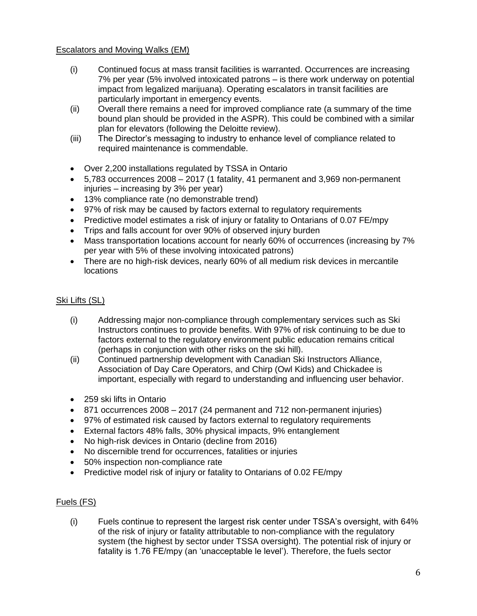### Escalators and Moving Walks (EM)

- (i) Continued focus at mass transit facilities is warranted. Occurrences are increasing 7% per year (5% involved intoxicated patrons – is there work underway on potential impact from legalized marijuana). Operating escalators in transit facilities are particularly important in emergency events.
- (ii) Overall there remains a need for improved compliance rate (a summary of the time bound plan should be provided in the ASPR). This could be combined with a similar plan for elevators (following the Deloitte review).
- (iii) The Director's messaging to industry to enhance level of compliance related to required maintenance is commendable.
- Over 2,200 installations regulated by TSSA in Ontario
- 5,783 occurrences 2008 2017 (1 fatality, 41 permanent and 3,969 non-permanent injuries – increasing by 3% per year)
- 13% compliance rate (no demonstrable trend)
- 97% of risk may be caused by factors external to regulatory requirements
- Predictive model estimates a risk of injury or fatality to Ontarians of 0.07 FE/mpy
- Trips and falls account for over 90% of observed injury burden
- Mass transportation locations account for nearly 60% of occurrences (increasing by 7% per year with 5% of these involving intoxicated patrons)
- There are no high-risk devices, nearly 60% of all medium risk devices in mercantile locations

## Ski Lifts (SL)

- (i) Addressing major non-compliance through complementary services such as Ski Instructors continues to provide benefits. With 97% of risk continuing to be due to factors external to the regulatory environment public education remains critical (perhaps in conjunction with other risks on the ski hill).
- (ii) Continued partnership development with Canadian Ski Instructors Alliance, Association of Day Care Operators, and Chirp (Owl Kids) and Chickadee is important, especially with regard to understanding and influencing user behavior.
- 259 ski lifts in Ontario
- 871 occurrences 2008 2017 (24 permanent and 712 non-permanent injuries)
- 97% of estimated risk caused by factors external to regulatory requirements
- External factors 48% falls, 30% physical impacts, 9% entanglement
- No high-risk devices in Ontario (decline from 2016)
- No discernible trend for occurrences, fatalities or injuries
- 50% inspection non-compliance rate
- Predictive model risk of injury or fatality to Ontarians of 0.02 FE/mpy

## Fuels (FS)

(i) Fuels continue to represent the largest risk center under TSSA's oversight, with 64% of the risk of injury or fatality attributable to non-compliance with the regulatory system (the highest by sector under TSSA oversight). The potential risk of injury or fatality is 1.76 FE/mpy (an 'unacceptable le level'). Therefore, the fuels sector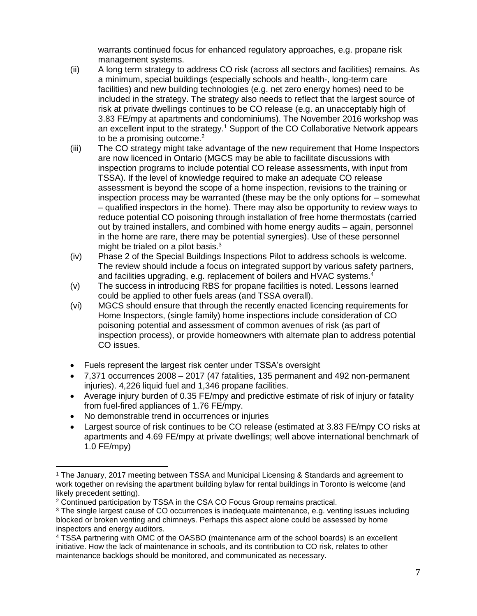warrants continued focus for enhanced regulatory approaches, e.g. propane risk management systems.

- (ii) A long term strategy to address CO risk (across all sectors and facilities) remains. As a minimum, special buildings (especially schools and health-, long-term care facilities) and new building technologies (e.g. net zero energy homes) need to be included in the strategy. The strategy also needs to reflect that the largest source of risk at private dwellings continues to be CO release (e.g. an unacceptably high of 3.83 FE/mpy at apartments and condominiums). The November 2016 workshop was an excellent input to the strategy.<sup>1</sup> Support of the CO Collaborative Network appears to be a promising outcome. $2$
- (iii) The CO strategy might take advantage of the new requirement that Home Inspectors are now licenced in Ontario (MGCS may be able to facilitate discussions with inspection programs to include potential CO release assessments, with input from TSSA). If the level of knowledge required to make an adequate CO release assessment is beyond the scope of a home inspection, revisions to the training or inspection process may be warranted (these may be the only options for – somewhat – qualified inspectors in the home). There may also be opportunity to review ways to reduce potential CO poisoning through installation of free home thermostats (carried out by trained installers, and combined with home energy audits – again, personnel in the home are rare, there may be potential synergies). Use of these personnel might be trialed on a pilot basis. $3 \overline{ }$
- (iv) Phase 2 of the Special Buildings Inspections Pilot to address schools is welcome. The review should include a focus on integrated support by various safety partners, and facilities upgrading, e.g. replacement of boilers and HVAC systems.<sup>4</sup>
- (v) The success in introducing RBS for propane facilities is noted. Lessons learned could be applied to other fuels areas (and TSSA overall).
- (vi) MGCS should ensure that through the recently enacted licencing requirements for Home Inspectors, (single family) home inspections include consideration of CO poisoning potential and assessment of common avenues of risk (as part of inspection process), or provide homeowners with alternate plan to address potential CO issues.
- Fuels represent the largest risk center under TSSA's oversight
- 7,371 occurrences 2008 2017 (47 fatalities, 135 permanent and 492 non-permanent injuries). 4,226 liquid fuel and 1,346 propane facilities.
- Average injury burden of 0.35 FE/mpy and predictive estimate of risk of injury or fatality from fuel-fired appliances of 1.76 FE/mpy.
- No demonstrable trend in occurrences or injuries

 $\overline{\phantom{a}}$ 

• Largest source of risk continues to be CO release (estimated at 3.83 FE/mpy CO risks at apartments and 4.69 FE/mpy at private dwellings; well above international benchmark of 1.0 FE/mpy)

<sup>&</sup>lt;sup>1</sup> The January, 2017 meeting between TSSA and Municipal Licensing & Standards and agreement to work together on revising the apartment building bylaw for rental buildings in Toronto is welcome (and likely precedent setting).

<sup>2</sup> Continued participation by TSSA in the CSA CO Focus Group remains practical.

<sup>3</sup> The single largest cause of CO occurrences is inadequate maintenance, e.g. venting issues including blocked or broken venting and chimneys. Perhaps this aspect alone could be assessed by home inspectors and energy auditors.

<sup>4</sup> TSSA partnering with OMC of the OASBO (maintenance arm of the school boards) is an excellent initiative. How the lack of maintenance in schools, and its contribution to CO risk, relates to other maintenance backlogs should be monitored, and communicated as necessary.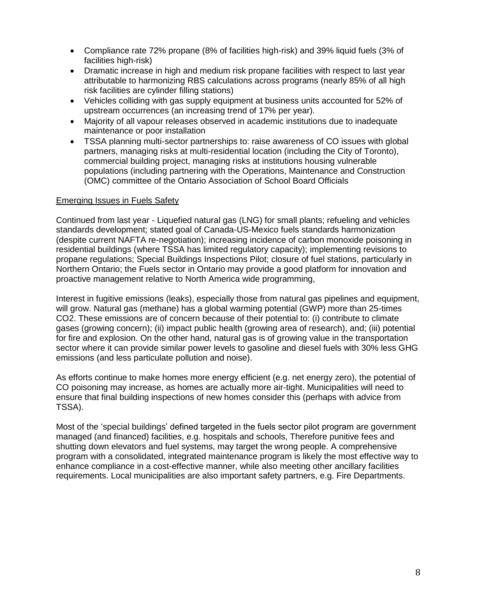- Compliance rate 72% propane (8% of facilities high-risk) and 39% liquid fuels (3% of facilities high-risk)
- Dramatic increase in high and medium risk propane facilities with respect to last year attributable to harmonizing RBS calculations across programs (nearly 85% of all high risk facilities are cylinder filling stations)
- Vehicles colliding with gas supply equipment at business units accounted for 52% of upstream occurrences (an increasing trend of 17% per year).
- Majority of all vapour releases observed in academic institutions due to inadequate maintenance or poor installation
- TSSA planning multi-sector partnerships to: raise awareness of CO issues with global partners, managing risks at multi-residential location (including the City of Toronto), commercial building project, managing risks at institutions housing vulnerable populations (including partnering with the Operations, Maintenance and Construction (OMC) committee of the Ontario Association of School Board Officials

### Emerging Issues in Fuels Safety

Continued from last year - Liquefied natural gas (LNG) for small plants; refueling and vehicles standards development; stated goal of Canada-US-Mexico fuels standards harmonization (despite current NAFTA re-negotiation); increasing incidence of carbon monoxide poisoning in residential buildings (where TSSA has limited regulatory capacity); implementing revisions to propane regulations; Special Buildings Inspections Pilot; closure of fuel stations, particularly in Northern Ontario; the Fuels sector in Ontario may provide a good platform for innovation and proactive management relative to North America wide programming,

Interest in fugitive emissions (leaks), especially those from natural gas pipelines and equipment, will grow. Natural gas (methane) has a global warming potential (GWP) more than 25-times CO2. These emissions are of concern because of their potential to: (i) contribute to climate gases (growing concern); (ii) impact public health (growing area of research), and; (iii) potential for fire and explosion. On the other hand, natural gas is of growing value in the transportation sector where it can provide similar power levels to gasoline and diesel fuels with 30% less GHG emissions (and less particulate pollution and noise).

As efforts continue to make homes more energy efficient (e.g. net energy zero), the potential of CO poisoning may increase, as homes are actually more air-tight. Municipalities will need to ensure that final building inspections of new homes consider this (perhaps with advice from TSSA).

Most of the 'special buildings' defined targeted in the fuels sector pilot program are government managed (and financed) facilities, e.g. hospitals and schools, Therefore punitive fees and shutting down elevators and fuel systems, may target the wrong people. A comprehensive program with a consolidated, integrated maintenance program is likely the most effective way to enhance compliance in a cost-effective manner, while also meeting other ancillary facilities requirements. Local municipalities are also important safety partners, e.g. Fire Departments.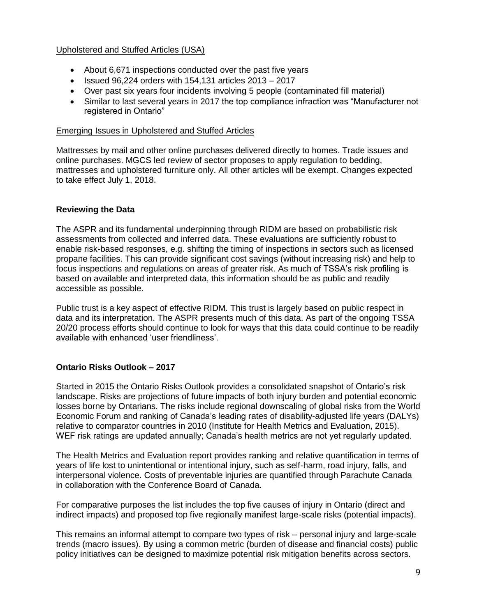#### Upholstered and Stuffed Articles (USA)

- About 6,671 inspections conducted over the past five years
- Issued  $96,224$  orders with 154,131 articles  $2013 2017$
- Over past six years four incidents involving 5 people (contaminated fill material)
- Similar to last several years in 2017 the top compliance infraction was "Manufacturer not registered in Ontario"

#### Emerging Issues in Upholstered and Stuffed Articles

Mattresses by mail and other online purchases delivered directly to homes. Trade issues and online purchases. MGCS led review of sector proposes to apply regulation to bedding, mattresses and upholstered furniture only. All other articles will be exempt. Changes expected to take effect July 1, 2018.

### **Reviewing the Data**

The ASPR and its fundamental underpinning through RIDM are based on probabilistic risk assessments from collected and inferred data. These evaluations are sufficiently robust to enable risk-based responses, e.g. shifting the timing of inspections in sectors such as licensed propane facilities. This can provide significant cost savings (without increasing risk) and help to focus inspections and regulations on areas of greater risk. As much of TSSA's risk profiling is based on available and interpreted data, this information should be as public and readily accessible as possible.

Public trust is a key aspect of effective RIDM. This trust is largely based on public respect in data and its interpretation. The ASPR presents much of this data. As part of the ongoing TSSA 20/20 process efforts should continue to look for ways that this data could continue to be readily available with enhanced 'user friendliness'.

### **Ontario Risks Outlook – 2017**

Started in 2015 the Ontario Risks Outlook provides a consolidated snapshot of Ontario's risk landscape. Risks are projections of future impacts of both injury burden and potential economic losses borne by Ontarians. The risks include regional downscaling of global risks from the World Economic Forum and ranking of Canada's leading rates of disability-adjusted life years (DALYs) relative to comparator countries in 2010 (Institute for Health Metrics and Evaluation, 2015). WEF risk ratings are updated annually; Canada's health metrics are not yet regularly updated.

The Health Metrics and Evaluation report provides ranking and relative quantification in terms of years of life lost to unintentional or intentional injury, such as self-harm, road injury, falls, and interpersonal violence. Costs of preventable injuries are quantified through Parachute Canada in collaboration with the Conference Board of Canada.

For comparative purposes the list includes the top five causes of injury in Ontario (direct and indirect impacts) and proposed top five regionally manifest large-scale risks (potential impacts).

This remains an informal attempt to compare two types of risk – personal injury and large-scale trends (macro issues). By using a common metric (burden of disease and financial costs) public policy initiatives can be designed to maximize potential risk mitigation benefits across sectors.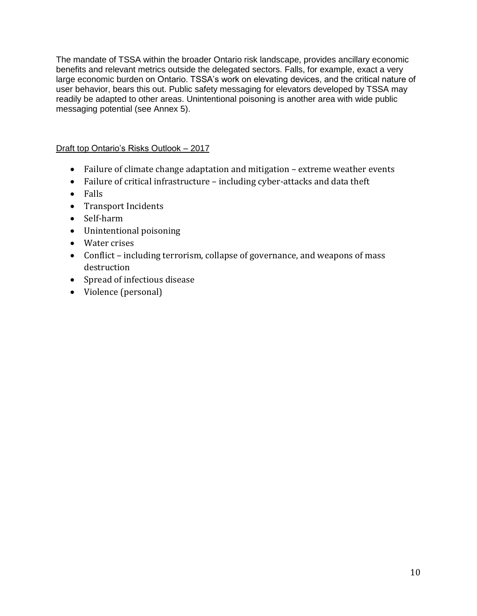The mandate of TSSA within the broader Ontario risk landscape, provides ancillary economic benefits and relevant metrics outside the delegated sectors. Falls, for example, exact a very large economic burden on Ontario. TSSA's work on elevating devices, and the critical nature of user behavior, bears this out. Public safety messaging for elevators developed by TSSA may readily be adapted to other areas. Unintentional poisoning is another area with wide public messaging potential (see Annex 5).

## Draft top Ontario's Risks Outlook – 2017

- Failure of climate change adaptation and mitigation extreme weather events
- Failure of critical infrastructure including cyber-attacks and data theft
- Falls
- Transport Incidents
- Self-harm
- Unintentional poisoning
- Water crises
- Conflict including terrorism, collapse of governance, and weapons of mass destruction
- Spread of infectious disease
- Violence (personal)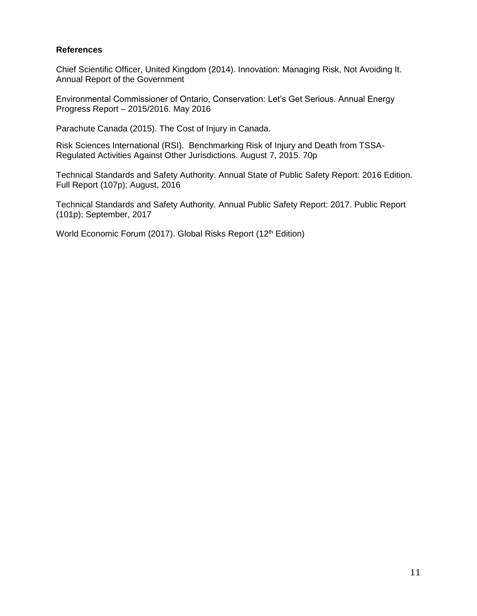#### **References**

Chief Scientific Officer, United Kingdom (2014). Innovation: Managing Risk, Not Avoiding It. Annual Report of the Government

Environmental Commissioner of Ontario, Conservation: Let's Get Serious. Annual Energy Progress Report – 2015/2016. May 2016

Parachute Canada (2015). The Cost of Injury in Canada.

Risk Sciences International (RSI). Benchmarking Risk of Injury and Death from TSSA-Regulated Activities Against Other Jurisdictions. August 7, 2015. 70p

Technical Standards and Safety Authority. Annual State of Public Safety Report: 2016 Edition. Full Report (107p); August, 2016

Technical Standards and Safety Authority. Annual Public Safety Report: 2017. Public Report (101p); September, 2017

World Economic Forum (2017). Global Risks Report (12<sup>th</sup> Edition)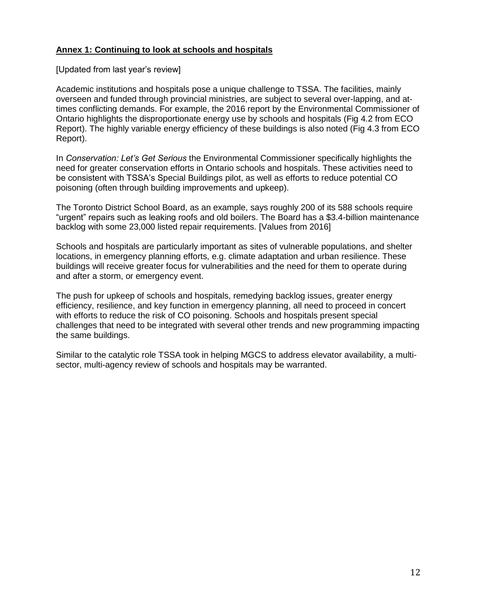### **Annex 1: Continuing to look at schools and hospitals**

#### [Updated from last year's review]

Academic institutions and hospitals pose a unique challenge to TSSA. The facilities, mainly overseen and funded through provincial ministries, are subject to several over-lapping, and attimes conflicting demands. For example, the 2016 report by the Environmental Commissioner of Ontario highlights the disproportionate energy use by schools and hospitals (Fig 4.2 from ECO Report). The highly variable energy efficiency of these buildings is also noted (Fig 4.3 from ECO Report).

In *Conservation: Let's Get Serious* the Environmental Commissioner specifically highlights the need for greater conservation efforts in Ontario schools and hospitals. These activities need to be consistent with TSSA's Special Buildings pilot, as well as efforts to reduce potential CO poisoning (often through building improvements and upkeep).

The Toronto District School Board, as an example, says roughly 200 of its 588 schools require "urgent" repairs such as leaking roofs and old boilers. The Board has a \$3.4-billion maintenance backlog with some 23,000 listed repair requirements. [Values from 2016]

Schools and hospitals are particularly important as sites of vulnerable populations, and shelter locations, in emergency planning efforts, e.g. climate adaptation and urban resilience. These buildings will receive greater focus for vulnerabilities and the need for them to operate during and after a storm, or emergency event.

The push for upkeep of schools and hospitals, remedying backlog issues, greater energy efficiency, resilience, and key function in emergency planning, all need to proceed in concert with efforts to reduce the risk of CO poisoning. Schools and hospitals present special challenges that need to be integrated with several other trends and new programming impacting the same buildings.

Similar to the catalytic role TSSA took in helping MGCS to address elevator availability, a multisector, multi-agency review of schools and hospitals may be warranted.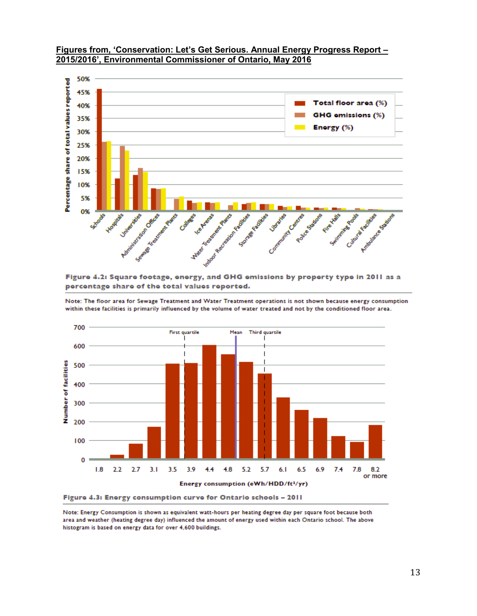

#### **Figures from, 'Conservation: Let's Get Serious. Annual Energy Progress Report – 2015/2016', Environmental Commissioner of Ontario, May 2016**

Figure 4.2: Square footage, energy, and GHG emissions by property type in 2011 as a percentage share of the total values reported.

Note: The floor area for Sewage Treatment and Water Treatment operations is not shown because energy consumption within these facilities is primarily influenced by the volume of water treated and not by the conditioned floor area.



Note: Energy Consumption is shown as equivalent watt-hours per heating degree day per square foot because both area and weather (heating degree day) influenced the amount of energy used within each Ontario school. The above histogram is based on energy data for over 4,600 buildings.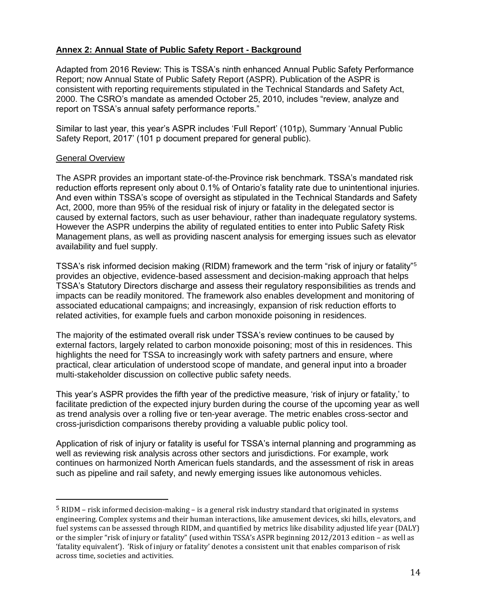### **Annex 2: Annual State of Public Safety Report - Background**

Adapted from 2016 Review: This is TSSA's ninth enhanced Annual Public Safety Performance Report; now Annual State of Public Safety Report (ASPR). Publication of the ASPR is consistent with reporting requirements stipulated in the Technical Standards and Safety Act, 2000. The CSRO's mandate as amended October 25, 2010, includes "review, analyze and report on TSSA's annual safety performance reports."

Similar to last year, this year's ASPR includes 'Full Report' (101p), Summary 'Annual Public Safety Report, 2017' (101 p document prepared for general public).

#### General Overview

 $\overline{\phantom{a}}$ 

The ASPR provides an important state-of-the-Province risk benchmark. TSSA's mandated risk reduction efforts represent only about 0.1% of Ontario's fatality rate due to unintentional injuries. And even within TSSA's scope of oversight as stipulated in the Technical Standards and Safety Act, 2000, more than 95% of the residual risk of injury or fatality in the delegated sector is caused by external factors, such as user behaviour, rather than inadequate regulatory systems. However the ASPR underpins the ability of regulated entities to enter into Public Safety Risk Management plans, as well as providing nascent analysis for emerging issues such as elevator availability and fuel supply.

TSSA's risk informed decision making (RIDM) framework and the term "risk of injury or fatality"<sup>5</sup> provides an objective, evidence-based assessment and decision-making approach that helps TSSA's Statutory Directors discharge and assess their regulatory responsibilities as trends and impacts can be readily monitored. The framework also enables development and monitoring of associated educational campaigns; and increasingly, expansion of risk reduction efforts to related activities, for example fuels and carbon monoxide poisoning in residences.

The majority of the estimated overall risk under TSSA's review continues to be caused by external factors, largely related to carbon monoxide poisoning; most of this in residences. This highlights the need for TSSA to increasingly work with safety partners and ensure, where practical, clear articulation of understood scope of mandate, and general input into a broader multi-stakeholder discussion on collective public safety needs.

This year's ASPR provides the fifth year of the predictive measure, 'risk of injury or fatality,' to facilitate prediction of the expected injury burden during the course of the upcoming year as well as trend analysis over a rolling five or ten-year average. The metric enables cross-sector and cross-jurisdiction comparisons thereby providing a valuable public policy tool.

Application of risk of injury or fatality is useful for TSSA's internal planning and programming as well as reviewing risk analysis across other sectors and jurisdictions. For example, work continues on harmonized North American fuels standards, and the assessment of risk in areas such as pipeline and rail safety, and newly emerging issues like autonomous vehicles.

<sup>5</sup> RIDM – risk informed decision-making – is a general risk industry standard that originated in systems engineering. Complex systems and their human interactions, like amusement devices, ski hills, elevators, and fuel systems can be assessed through RIDM, and quantified by metrics like disability adjusted life year (DALY) or the simpler "risk of injury or fatality" (used within TSSA's ASPR beginning 2012/2013 edition – as well as 'fatality equivalent'). 'Risk of injury or fatality' denotes a consistent unit that enables comparison of risk across time, societies and activities.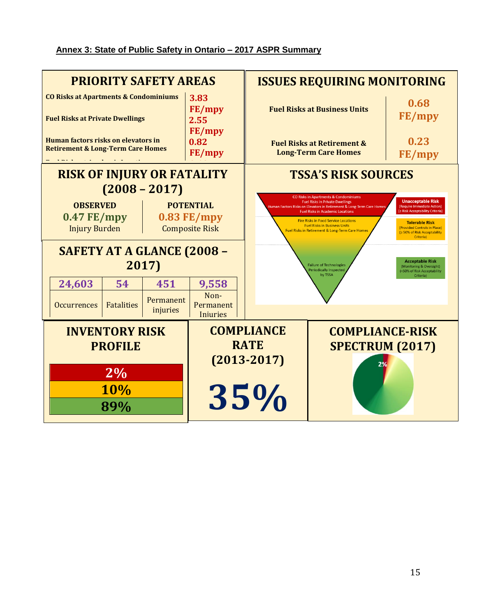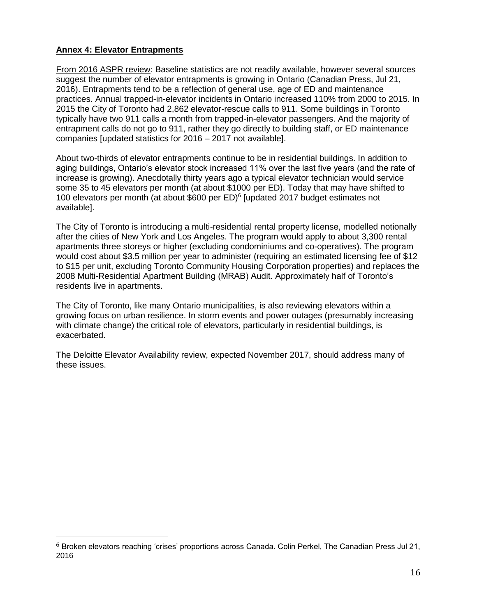## **Annex 4: Elevator Entrapments**

 $\overline{\phantom{a}}$ 

From 2016 ASPR review: Baseline statistics are not readily available, however several sources suggest the number of elevator entrapments is growing in Ontario (Canadian Press, Jul 21, 2016). Entrapments tend to be a reflection of general use, age of ED and maintenance practices. Annual trapped-in-elevator incidents in Ontario increased 110% from 2000 to 2015. In 2015 the City of Toronto had 2,862 elevator-rescue calls to 911. Some buildings in Toronto typically have two 911 calls a month from trapped-in-elevator passengers. And the majority of entrapment calls do not go to 911, rather they go directly to building staff, or ED maintenance companies [updated statistics for 2016 – 2017 not available].

About two-thirds of elevator entrapments continue to be in residential buildings. In addition to aging buildings, Ontario's elevator stock increased 11% over the last five years (and the rate of increase is growing). Anecdotally thirty years ago a typical elevator technician would service some 35 to 45 elevators per month (at about \$1000 per ED). Today that may have shifted to 100 elevators per month (at about \$600 per ED)<sup>6</sup> [updated 2017 budget estimates not available].

The City of Toronto is introducing a multi-residential rental property license, modelled notionally after the cities of New York and Los Angeles. The program would apply to about 3,300 rental apartments three storeys or higher (excluding condominiums and co-operatives). The program would cost about \$3.5 million per year to administer (requiring an estimated licensing fee of \$12 to \$15 per unit, excluding Toronto Community Housing Corporation properties) and replaces the 2008 Multi-Residential Apartment Building (MRAB) Audit. Approximately half of Toronto's residents live in apartments.

The City of Toronto, like many Ontario municipalities, is also reviewing elevators within a growing focus on urban resilience. In storm events and power outages (presumably increasing with climate change) the critical role of elevators, particularly in residential buildings, is exacerbated.

The Deloitte Elevator Availability review, expected November 2017, should address many of these issues.

<sup>6</sup> Broken elevators reaching 'crises' proportions across Canada. Colin Perkel, The Canadian Press Jul 21, 2016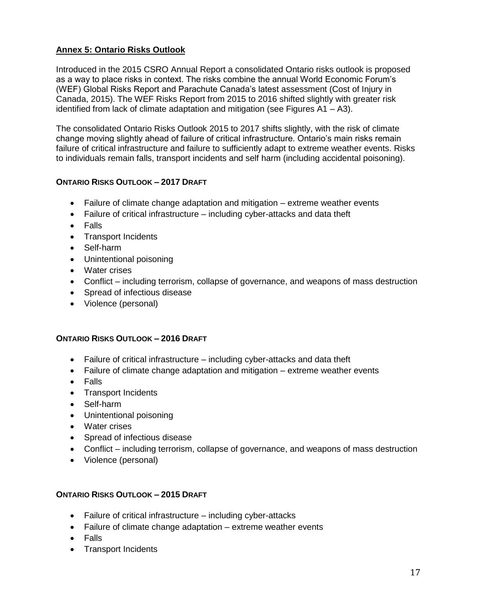## **Annex 5: Ontario Risks Outlook**

Introduced in the 2015 CSRO Annual Report a consolidated Ontario risks outlook is proposed as a way to place risks in context. The risks combine the annual World Economic Forum's (WEF) Global Risks Report and Parachute Canada's latest assessment (Cost of Injury in Canada, 2015). The WEF Risks Report from 2015 to 2016 shifted slightly with greater risk identified from lack of climate adaptation and mitigation (see Figures  $A1 - A3$ ).

The consolidated Ontario Risks Outlook 2015 to 2017 shifts slightly, with the risk of climate change moving slightly ahead of failure of critical infrastructure. Ontario's main risks remain failure of critical infrastructure and failure to sufficiently adapt to extreme weather events. Risks to individuals remain falls, transport incidents and self harm (including accidental poisoning).

## **ONTARIO RISKS OUTLOOK – 2017 DRAFT**

- Failure of climate change adaptation and mitigation extreme weather events
- Failure of critical infrastructure including cyber-attacks and data theft
- Falls
- Transport Incidents
- Self-harm
- Unintentional poisoning
- Water crises
- Conflict including terrorism, collapse of governance, and weapons of mass destruction
- Spread of infectious disease
- Violence (personal)

### **ONTARIO RISKS OUTLOOK – 2016 DRAFT**

- Failure of critical infrastructure including cyber-attacks and data theft
- Failure of climate change adaptation and mitigation extreme weather events
- Falls
- Transport Incidents
- Self-harm
- Unintentional poisoning
- Water crises
- Spread of infectious disease
- Conflict including terrorism, collapse of governance, and weapons of mass destruction
- Violence (personal)

### **ONTARIO RISKS OUTLOOK – 2015 DRAFT**

- Failure of critical infrastructure including cyber-attacks
- Failure of climate change adaptation extreme weather events
- Falls
- Transport Incidents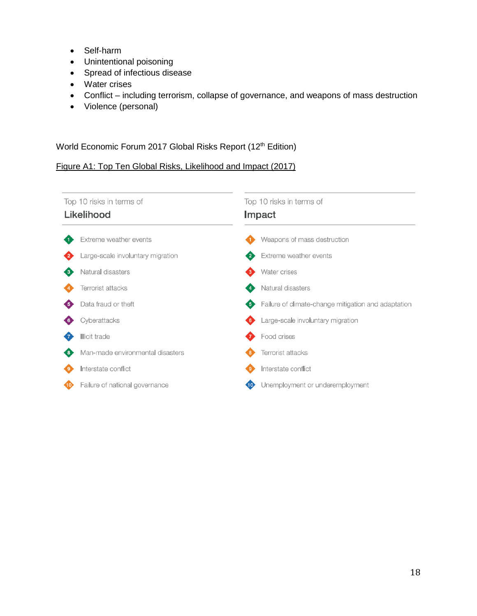- Self-harm
- Unintentional poisoning
- Spread of infectious disease
- Water crises
- Conflict including terrorism, collapse of governance, and weapons of mass destruction
- Violence (personal)

### World Economic Forum 2017 Global Risks Report (12<sup>th</sup> Edition)

### Figure A1: Top Ten Global Risks, Likelihood and Impact (2017)